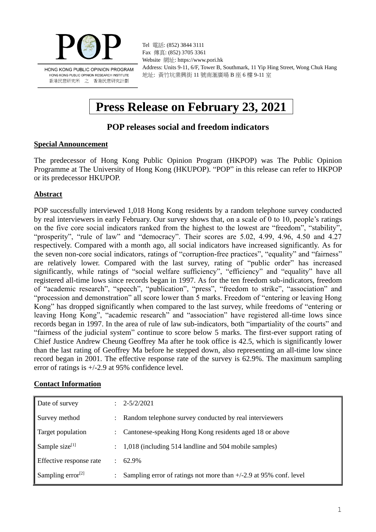

Tel 電話: (852) 3844 3111 Fax 傳真: (852) 3705 3361 Website 網址: https://www.pori.hk Address: Units 9-11, 6/F, Tower B, Southmark, 11 Yip Hing Street, Wong Chuk Hang 地址: 黃竹坑業興街 11 號南滙廣場 B 座 6 樓 9-11 室

# **Press Release on February 23, 2021**

# **POP releases social and freedom indicators**

#### **Special Announcement**

The predecessor of Hong Kong Public Opinion Program (HKPOP) was The Public Opinion Programme at The University of Hong Kong (HKUPOP). "POP" in this release can refer to HKPOP or its predecessor HKUPOP.

## **Abstract**

POP successfully interviewed 1,018 Hong Kong residents by a random telephone survey conducted by real interviewers in early February. Our survey shows that, on a scale of 0 to 10, people's ratings on the five core social indicators ranked from the highest to the lowest are "freedom", "stability", "prosperity", "rule of law" and "democracy". Their scores are 5.02, 4.99, 4.96, 4.50 and 4.27 respectively. Compared with a month ago, all social indicators have increased significantly. As for the seven non-core social indicators, ratings of "corruption-free practices", "equality" and "fairness" are relatively lower. Compared with the last survey, rating of "public order" has increased significantly, while ratings of "social welfare sufficiency", "efficiency" and "equality" have all registered all-time lows since records began in 1997. As for the ten freedom sub-indicators, freedom of "academic research", "speech", "publication", "press", "freedom to strike", "association" and "procession and demonstration" all score lower than 5 marks. Freedom of "entering or leaving Hong Kong" has dropped significantly when compared to the last survey, while freedoms of "entering or leaving Hong Kong", "academic research" and "association" have registered all-time lows since records began in 1997. In the area of rule of law sub-indicators, both "impartiality of the courts" and "fairness of the judicial system" continue to score below 5 marks. The first-ever support rating of Chief Justice Andrew Cheung Geoffrey Ma after he took office is 42.5, which is significantly lower than the last rating of Geoffrey Ma before he stepped down, also representing an all-time low since record began in 2001. The effective response rate of the survey is 62.9%. The maximum sampling error of ratings is +/-2.9 at 95% confidence level.

#### **Contact Information**

| Date of survey          | $\therefore$ 2-5/2/2021                                             |
|-------------------------|---------------------------------------------------------------------|
| Survey method           | Random telephone survey conducted by real interviewers              |
| Target population       | : Cantonese-speaking Hong Kong residents aged 18 or above           |
| Sample size $[1]$       | 1,018 (including 514 landline and 504 mobile samples)               |
| Effective response rate | $\pm 62.9\%$                                                        |
| Sampling error $^{[2]}$ | Sampling error of ratings not more than $+/-2.9$ at 95% conf. level |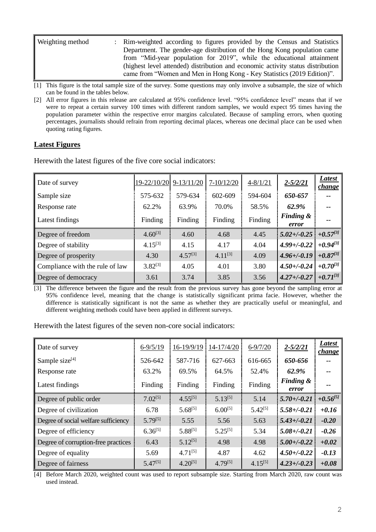| Weighting method | : Rim-weighted according to figures provided by the Census and Statistics       |
|------------------|---------------------------------------------------------------------------------|
|                  | Department. The gender-age distribution of the Hong Kong population came        |
|                  | from "Mid-year population for 2019", while the educational attainment           |
|                  | (highest level attended) distribution and economic activity status distribution |
|                  | came from "Women and Men in Hong Kong - Key Statistics (2019 Edition)".         |

[1] This figure is the total sample size of the survey. Some questions may only involve a subsample, the size of which can be found in the tables below.

[2] All error figures in this release are calculated at 95% confidence level. "95% confidence level" means that if we were to repeat a certain survey 100 times with different random samples, we would expect 95 times having the population parameter within the respective error margins calculated. Because of sampling errors, when quoting percentages, journalists should refrain from reporting decimal places, whereas one decimal place can be used when quoting rating figures.

#### **Latest Figures**

Herewith the latest figures of the five core social indicators:

| Date of survey                  | 19-22/10/20  | $9-13/11/20$ | 7-10/12/20   | $4 - 8/1/21$ | $2 - 5/2/21$                  | <b>Latest</b><br><u>change</u> |
|---------------------------------|--------------|--------------|--------------|--------------|-------------------------------|--------------------------------|
| Sample size                     | 575-632      | 579-634      | 602-609      | 594-604      | 650-657                       | $- -$                          |
| Response rate                   | 62.2%        | 63.9%        | 70.0%        | 58.5%        | 62.9%                         | --                             |
| Latest findings                 | Finding      | Finding      | Finding      | Finding      | <b>Finding &amp;</b><br>error | --                             |
| Degree of freedom               | $4.60^{[3]}$ | 4.60         | 4.68         | 4.45         | $5.02 + (-0.25)$              | $+0.57^{[3]}$                  |
| Degree of stability             | $4.15^{[3]}$ | 4.15         | 4.17         | 4.04         | $4.99 + (-0.22)$              | $+0.94^{[3]}$                  |
| Degree of prosperity            | 4.30         | $4.57^{[3]}$ | $4.11^{[3]}$ | 4.09         | $4.96 + (-0.19)$              | $+0.87^{[3]}$                  |
| Compliance with the rule of law | $3.82^{[3]}$ | 4.05         | 4.01         | 3.80         | $4.50 + (-0.24)$              | $+0.70^{3}$                    |
| Degree of democracy             | 3.61         | 3.74         | 3.85         | 3.56         | $4.27 + (-0.27)$              | $+0.71^{[3]}$                  |

[3] The difference between the figure and the result from the previous survey has gone beyond the sampling error at 95% confidence level, meaning that the change is statistically significant prima facie. However, whether the difference is statistically significant is not the same as whether they are practically useful or meaningful, and different weighting methods could have been applied in different surveys.

Herewith the latest figures of the seven non-core social indicators:

| Date of survey                       | $6 - 9/5/19$ | 16-19/9/19   | 14-17/4/20   | $6 - 9/7/20$ | $2 - 5/2/21$                  | Latest<br>change |
|--------------------------------------|--------------|--------------|--------------|--------------|-------------------------------|------------------|
| Sample size <sup>[4]</sup>           | 526-642      | 587-716      | 627-663      | 616-665      | 650-656                       |                  |
| Response rate                        | 63.2%        | 69.5%        | 64.5%        | 52.4%        | 62.9%                         |                  |
| Latest findings                      | Finding      | Finding      | Finding      | Finding      | <b>Finding &amp;</b><br>error |                  |
| Degree of public order               | $7.02^{[5]}$ | $4.55^{[5]}$ | $5.13^{[5]}$ | 5.14         | $5.70 + (-0.21)$              | $+0.56^{[5]}$    |
| Degree of civilization               | 6.78         | $5.68^{[5]}$ | $6.00^{[5]}$ | $5.42^{[5]}$ | $5.58 + (-0.21)$              | $+0.16$          |
| Degree of social welfare sufficiency | $5.79^{[5]}$ | 5.55         | 5.56         | 5.63         | $5.43 + (-0.21)$              | $-0.20$          |
| Degree of efficiency                 | $6.36^{[5]}$ | $5.88^{[5]}$ | $5.25^{[5]}$ | 5.34         | $5.08 + (-0.21)$              | $-0.26$          |
| Degree of corruption-free practices  | 6.43         | $5.12^{[5]}$ | 4.98         | 4.98         | $5.00 + (-0.22)$              | $+0.02$          |
| Degree of equality                   | 5.69         | $4.71^{[5]}$ | 4.87         | 4.62         | $4.50 + (-0.22)$              | $-0.13$          |
| Degree of fairness                   | $5.47^{[5]}$ | $4.20^{[5]}$ | $4.79^{[5]}$ | $4.15^{[5]}$ | $4.23 + (-0.23)$              | $+0.08$          |

[4] Before March 2020, weighted count was used to report subsample size. Starting from March 2020, raw count was used instead.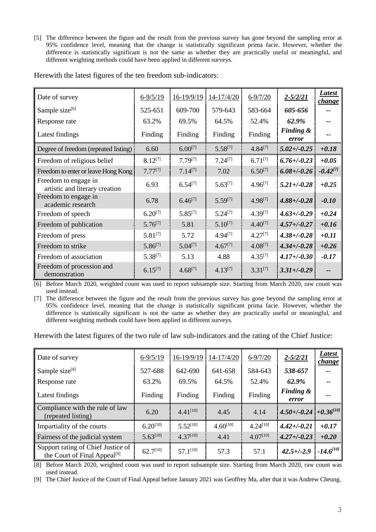[5] The difference between the figure and the result from the previous survey has gone beyond the sampling error at 95% confidence level, meaning that the change is statistically significant prima facie. However, whether the difference is statistically significant is not the same as whether they are practically useful or meaningful, and different weighting methods could have been applied in different surveys.

| Here with the latest figures of the ten freedom sub-indicators: |  |
|-----------------------------------------------------------------|--|

| Date of survey                                         | $6 - 9/5/19$ | $16 - 19/9/19$ | $14 - 17/4/20$ | $6 - 9/7/20$ | $2 - 5/2/21$       | Latest<br>change |
|--------------------------------------------------------|--------------|----------------|----------------|--------------|--------------------|------------------|
| Sample size $[6]$                                      | 525-651      | 609-700        | 579-643        | 583-664      | 605-656            |                  |
| Response rate                                          | 63.2%        | 69.5%          | 64.5%          | 52.4%        | 62.9%              |                  |
| Latest findings                                        | Finding      | Finding        | Finding        | Finding      | Finding &<br>error | --               |
| Degree of freedom (repeated listing)                   | 6.60         | $6.00^{[7]}$   | $5.58^{[7]}$   | $4.84^{[7]}$ | $5.02 + (-0.25)$   | $+0.18$          |
| Freedom of religious belief                            | $8.12^{[7]}$ | $7.79^{[7]}$   | $7.24^{[7]}$   | $6.71^{[7]}$ | $6.76 + (-0.23)$   | $+0.05$          |
| Freedom to enter or leave Hong Kong                    | $7.77^{[7]}$ | $7.14^{[7]}$   | 7.02           | $6.50^{[7]}$ | $6.08 + (-0.26)$   | $-0.42^{[7]}$    |
| Freedom to engage in<br>artistic and literary creation | 6.93         | $6.54^{[7]}$   | $5.63^{[7]}$   | $4.96^{[7]}$ | $5.21 + (-0.28)$   | $+0.25$          |
| Freedom to engage in<br>academic research              | 6.78         | $6.46^{[7]}$   | $5.59^{[7]}$   | $4.98^{[7]}$ | $4.88 + (-0.28)$   | $-0.10$          |
| Freedom of speech                                      | $6.20^{[7]}$ | $5.85^{[7]}$   | $5.24^{[7]}$   | 4.39[7]      | $4.63 + (-0.29)$   | $+0.24$          |
| Freedom of publication                                 | $5.76^{[7]}$ | 5.81           | $5.10^{[7]}$   | $4.40^{[7]}$ | $4.57 + (-0.27)$   | $+0.16$          |
| Freedom of press                                       | $5.81^{[7]}$ | 5.72           | $4.94^{[7]}$   | $4.27^{[7]}$ | $4.38 + (-0.28)$   | $+0.11$          |
| Freedom to strike                                      | $5.86^{[7]}$ | $5.04^{[7]}$   | $4.67^{[7]}$   | $4.08^{[7]}$ | $4.34 + (-0.28)$   | $+0.26$          |
| Freedom of association                                 | $5.38^{[7]}$ | 5.13           | 4.88           | $4.35^{[7]}$ | $4.17 + (-0.30)$   | $-0.17$          |
| Freedom of procession and<br>demonstration             | $6.15^{[7]}$ | $4.68^{[7]}$   | $4.13^{[7]}$   | $3.31^{[7]}$ | $3.31 + (-0.29)$   |                  |

[6] Before March 2020, weighted count was used to report subsample size. Starting from March 2020, raw count was used instead.

[7] The difference between the figure and the result from the previous survey has gone beyond the sampling error at 95% confidence level, meaning that the change is statistically significant prima facie. However, whether the difference is statistically significant is not the same as whether they are practically useful or meaningful, and different weighting methods could have been applied in different surveys.

Herewith the latest figures of the two rule of law sub-indicators and the rating of the Chief Justice:

| Date of survey                                        | $6 - 9/5/19$  | 16-19/9/19    | 14-17/4/20    | $6 - 9/7/20$  | $2 - \frac{5}{2}$             | <b>Latest</b><br><i>change</i> |
|-------------------------------------------------------|---------------|---------------|---------------|---------------|-------------------------------|--------------------------------|
| Sample size <sup>[8]</sup>                            | 527-688       | 642-690       | 641-658       | 584-643       | 538-657                       |                                |
| Response rate                                         | 63.2%         | 69.5%         | 64.5%         | 52.4%         | 62.9%                         |                                |
| Latest findings                                       | Finding       | Finding       | Finding       | Finding       | <b>Finding &amp;</b><br>error |                                |
|                                                       |               |               |               |               |                               |                                |
| Compliance with the rule of law<br>(repeated listing) | 6.20          | $4.41^{[10]}$ | 4.45          | 4.14          | $4.50 + (-0.24 + 0.36^{[10]}$ |                                |
| Impartiality of the courts                            | $6.20^{[10]}$ | $552^{[10]}$  | $4.60^{[10]}$ | $4.24^{[10]}$ | $4.42 + (-0.21)$              | $+0.17$                        |
| Fairness of the judicial system                       | $5.63^{[10]}$ | $4.37^{[10]}$ | 4.41          | $4.07^{[10]}$ | $4.27 + (-0.23)$              | $+0.20$                        |

[8] Before March 2020, weighted count was used to report subsample size. Starting from March 2020, raw count was used instead.

[9] The Chief Justice of the Court of Final Appeal before January 2021 was Geoffrey Ma, after that it was Andrew Cheung.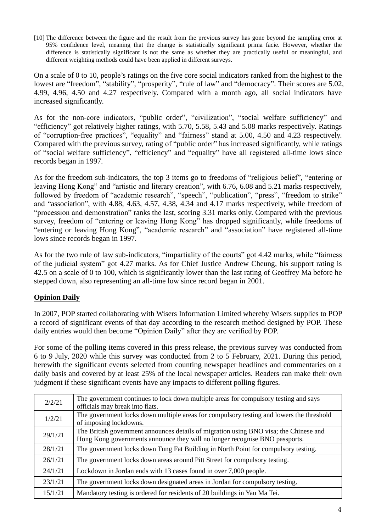[10] The difference between the figure and the result from the previous survey has gone beyond the sampling error at 95% confidence level, meaning that the change is statistically significant prima facie. However, whether the difference is statistically significant is not the same as whether they are practically useful or meaningful, and different weighting methods could have been applied in different surveys.

On a scale of 0 to 10, people's ratings on the five core social indicators ranked from the highest to the lowest are "freedom", "stability", "prosperity", "rule of law" and "democracy". Their scores are 5.02, 4.99, 4.96, 4.50 and 4.27 respectively. Compared with a month ago, all social indicators have increased significantly.

As for the non-core indicators, "public order", "civilization", "social welfare sufficiency" and "efficiency" got relatively higher ratings, with 5.70, 5.58, 5.43 and 5.08 marks respectively. Ratings of "corruption-free practices", "equality" and "fairness" stand at 5.00, 4.50 and 4.23 respectively. Compared with the previous survey, rating of "public order" has increased significantly, while ratings of "social welfare sufficiency", "efficiency" and "equality" have all registered all-time lows since records began in 1997.

As for the freedom sub-indicators, the top 3 items go to freedoms of "religious belief", "entering or leaving Hong Kong" and "artistic and literary creation", with 6.76, 6.08 and 5.21 marks respectively, followed by freedom of "academic research", "speech", "publication", "press", "freedom to strike" and "association", with 4.88, 4.63, 4.57, 4.38, 4.34 and 4.17 marks respectively, while freedom of "procession and demonstration" ranks the last, scoring 3.31 marks only. Compared with the previous survey, freedom of "entering or leaving Hong Kong" has dropped significantly, while freedoms of "entering or leaving Hong Kong", "academic research" and "association" have registered all-time lows since records began in 1997.

As for the two rule of law sub-indicators, "impartiality of the courts" got 4.42 marks, while "fairness of the judicial system" got 4.27 marks. As for Chief Justice Andrew Cheung, his support rating is 42.5 on a scale of 0 to 100, which is significantly lower than the last rating of Geoffrey Ma before he stepped down, also representing an all-time low since record began in 2001.

# **Opinion Daily**

In 2007, POP started collaborating with Wisers Information Limited whereby Wisers supplies to POP a record of significant events of that day according to the research method designed by POP. These daily entries would then become "Opinion Daily" after they are verified by POP.

For some of the polling items covered in this press release, the previous survey was conducted from 6 to 9 July, 2020 while this survey was conducted from 2 to 5 February, 2021. During this period, herewith the significant events selected from counting newspaper headlines and commentaries on a daily basis and covered by at least 25% of the local newspaper articles. Readers can make their own judgment if these significant events have any impacts to different polling figures.

| 2/2/21  | The government continues to lock down multiple areas for compulsory testing and says     |
|---------|------------------------------------------------------------------------------------------|
|         | officials may break into flats.                                                          |
| 1/2/21  | The government locks down multiple areas for compulsory testing and lowers the threshold |
|         | of imposing lockdowns.                                                                   |
| 29/1/21 | The British government announces details of migration using BNO visa; the Chinese and    |
|         | Hong Kong governments announce they will no longer recognise BNO passports.              |
| 28/1/21 | The government locks down Tung Fat Building in North Point for compulsory testing.       |
| 26/1/21 | The government locks down areas around Pitt Street for compulsory testing.               |
| 24/1/21 | Lockdown in Jordan ends with 13 cases found in over 7,000 people.                        |
| 23/1/21 | The government locks down designated areas in Jordan for compulsory testing.             |
| 15/1/21 | Mandatory testing is ordered for residents of 20 buildings in Yau Ma Tei.                |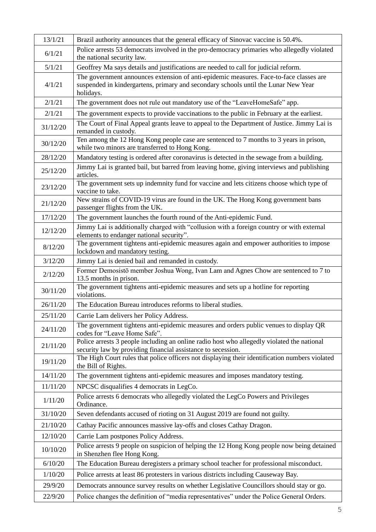| 13/1/21  | Brazil authority announces that the general efficacy of Sinovac vaccine is 50.4%.                                                                                                         |
|----------|-------------------------------------------------------------------------------------------------------------------------------------------------------------------------------------------|
| 6/1/21   | Police arrests 53 democrats involved in the pro-democracy primaries who allegedly violated<br>the national security law.                                                                  |
| 5/1/21   | Geoffrey Ma says details and justifications are needed to call for judicial reform.                                                                                                       |
| 4/1/21   | The government announces extension of anti-epidemic measures. Face-to-face classes are<br>suspended in kindergartens, primary and secondary schools until the Lunar New Year<br>holidays. |
| 2/1/21   | The government does not rule out mandatory use of the "LeaveHomeSafe" app.                                                                                                                |
| 2/1/21   | The government expects to provide vaccinations to the public in February at the earliest.                                                                                                 |
| 31/12/20 | The Court of Final Appeal grants leave to appeal to the Department of Justice. Jimmy Lai is<br>remanded in custody.                                                                       |
| 30/12/20 | Ten among the 12 Hong Kong people case are sentenced to 7 months to 3 years in prison,<br>while two minors are transferred to Hong Kong.                                                  |
| 28/12/20 | Mandatory testing is ordered after coronavirus is detected in the sewage from a building.                                                                                                 |
| 25/12/20 | Jimmy Lai is granted bail, but barred from leaving home, giving interviews and publishing<br>articles.                                                                                    |
| 23/12/20 | The government sets up indemnity fund for vaccine and lets citizens choose which type of<br>vaccine to take.                                                                              |
| 21/12/20 | New strains of COVID-19 virus are found in the UK. The Hong Kong government bans<br>passenger flights from the UK.                                                                        |
| 17/12/20 | The government launches the fourth round of the Anti-epidemic Fund.                                                                                                                       |
| 12/12/20 | Jimmy Lai is additionally charged with "collusion with a foreign country or with external<br>elements to endanger national security".                                                     |
| 8/12/20  | The government tightens anti-epidemic measures again and empower authorities to impose<br>lockdown and mandatory testing.                                                                 |
| 3/12/20  | Jimmy Lai is denied bail and remanded in custody.                                                                                                                                         |
| 2/12/20  | Former Demosistō member Joshua Wong, Ivan Lam and Agnes Chow are sentenced to 7 to<br>13.5 months in prison.                                                                              |
| 30/11/20 | The government tightens anti-epidemic measures and sets up a hotline for reporting<br>violations.                                                                                         |
| 26/11/20 | The Education Bureau introduces reforms to liberal studies.                                                                                                                               |
| 25/11/20 | Carrie Lam delivers her Policy Address.                                                                                                                                                   |
| 24/11/20 | The government tightens anti-epidemic measures and orders public venues to display QR<br>codes for "Leave Home Safe".                                                                     |
| 21/11/20 | Police arrests 3 people including an online radio host who allegedly violated the national<br>security law by providing financial assistance to secession.                                |
| 19/11/20 | The High Court rules that police officers not displaying their identification numbers violated<br>the Bill of Rights.                                                                     |
| 14/11/20 | The government tightens anti-epidemic measures and imposes mandatory testing.                                                                                                             |
| 11/11/20 | NPCSC disqualifies 4 democrats in LegCo.                                                                                                                                                  |
| 1/11/20  | Police arrests 6 democrats who allegedly violated the LegCo Powers and Privileges<br>Ordinance.                                                                                           |
| 31/10/20 | Seven defendants accused of rioting on 31 August 2019 are found not guilty.                                                                                                               |
| 21/10/20 | Cathay Pacific announces massive lay-offs and closes Cathay Dragon.                                                                                                                       |
| 12/10/20 | Carrie Lam postpones Policy Address.                                                                                                                                                      |
| 10/10/20 | Police arrests 9 people on suspicion of helping the 12 Hong Kong people now being detained<br>in Shenzhen flee Hong Kong.                                                                 |
| 6/10/20  | The Education Bureau deregisters a primary school teacher for professional misconduct.                                                                                                    |
| 1/10/20  | Police arrests at least 86 protesters in various districts including Causeway Bay.                                                                                                        |
| 29/9/20  | Democrats announce survey results on whether Legislative Councillors should stay or go.                                                                                                   |
| 22/9/20  | Police changes the definition of "media representatives" under the Police General Orders.                                                                                                 |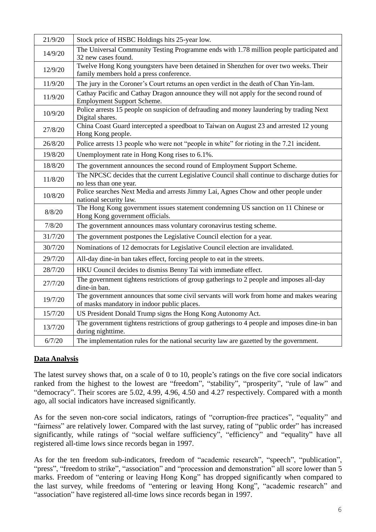| 21/9/20 | Stock price of HSBC Holdings hits 25-year low.                                                                                         |
|---------|----------------------------------------------------------------------------------------------------------------------------------------|
| 14/9/20 | The Universal Community Testing Programme ends with 1.78 million people participated and<br>32 new cases found.                        |
| 12/9/20 | Twelve Hong Kong youngsters have been detained in Shenzhen for over two weeks. Their<br>family members hold a press conference.        |
| 11/9/20 | The jury in the Coroner's Court returns an open verdict in the death of Chan Yin-lam.                                                  |
| 11/9/20 | Cathay Pacific and Cathay Dragon announce they will not apply for the second round of<br><b>Employment Support Scheme.</b>             |
| 10/9/20 | Police arrests 15 people on suspicion of defrauding and money laundering by trading Next<br>Digital shares.                            |
| 27/8/20 | China Coast Guard intercepted a speedboat to Taiwan on August 23 and arrested 12 young<br>Hong Kong people.                            |
| 26/8/20 | Police arrests 13 people who were not "people in white" for rioting in the 7.21 incident.                                              |
| 19/8/20 | Unemployment rate in Hong Kong rises to 6.1%.                                                                                          |
| 18/8/20 | The government announces the second round of Employment Support Scheme.                                                                |
| 11/8/20 | The NPCSC decides that the current Legislative Council shall continue to discharge duties for<br>no less than one year.                |
| 10/8/20 | Police searches Next Media and arrests Jimmy Lai, Agnes Chow and other people under<br>national security law.                          |
| 8/8/20  | The Hong Kong government issues statement condemning US sanction on 11 Chinese or<br>Hong Kong government officials.                   |
| 7/8/20  | The government announces mass voluntary coronavirus testing scheme.                                                                    |
| 31/7/20 | The government postpones the Legislative Council election for a year.                                                                  |
| 30/7/20 | Nominations of 12 democrats for Legislative Council election are invalidated.                                                          |
| 29/7/20 | All-day dine-in ban takes effect, forcing people to eat in the streets.                                                                |
| 28/7/20 | HKU Council decides to dismiss Benny Tai with immediate effect.                                                                        |
| 27/7/20 | The government tightens restrictions of group gatherings to 2 people and imposes all-day<br>dine-in ban.                               |
| 19/7/20 | The government announces that some civil servants will work from home and makes wearing<br>of masks mandatory in indoor public places. |
| 15/7/20 | US President Donald Trump signs the Hong Kong Autonomy Act.                                                                            |
| 13/7/20 | The government tightens restrictions of group gatherings to 4 people and imposes dine-in ban<br>during nighttime.                      |
| 6/7/20  | The implementation rules for the national security law are gazetted by the government.                                                 |

## **Data Analysis**

The latest survey shows that, on a scale of 0 to 10, people's ratings on the five core social indicators ranked from the highest to the lowest are "freedom", "stability", "prosperity", "rule of law" and "democracy". Their scores are 5.02, 4.99, 4.96, 4.50 and 4.27 respectively. Compared with a month ago, all social indicators have increased significantly.

As for the seven non-core social indicators, ratings of "corruption-free practices", "equality" and "fairness" are relatively lower. Compared with the last survey, rating of "public order" has increased significantly, while ratings of "social welfare sufficiency", "efficiency" and "equality" have all registered all-time lows since records began in 1997.

As for the ten freedom sub-indicators, freedom of "academic research", "speech", "publication", "press", "freedom to strike", "association" and "procession and demonstration" all score lower than 5 marks. Freedom of "entering or leaving Hong Kong" has dropped significantly when compared to the last survey, while freedoms of "entering or leaving Hong Kong", "academic research" and "association" have registered all-time lows since records began in 1997.